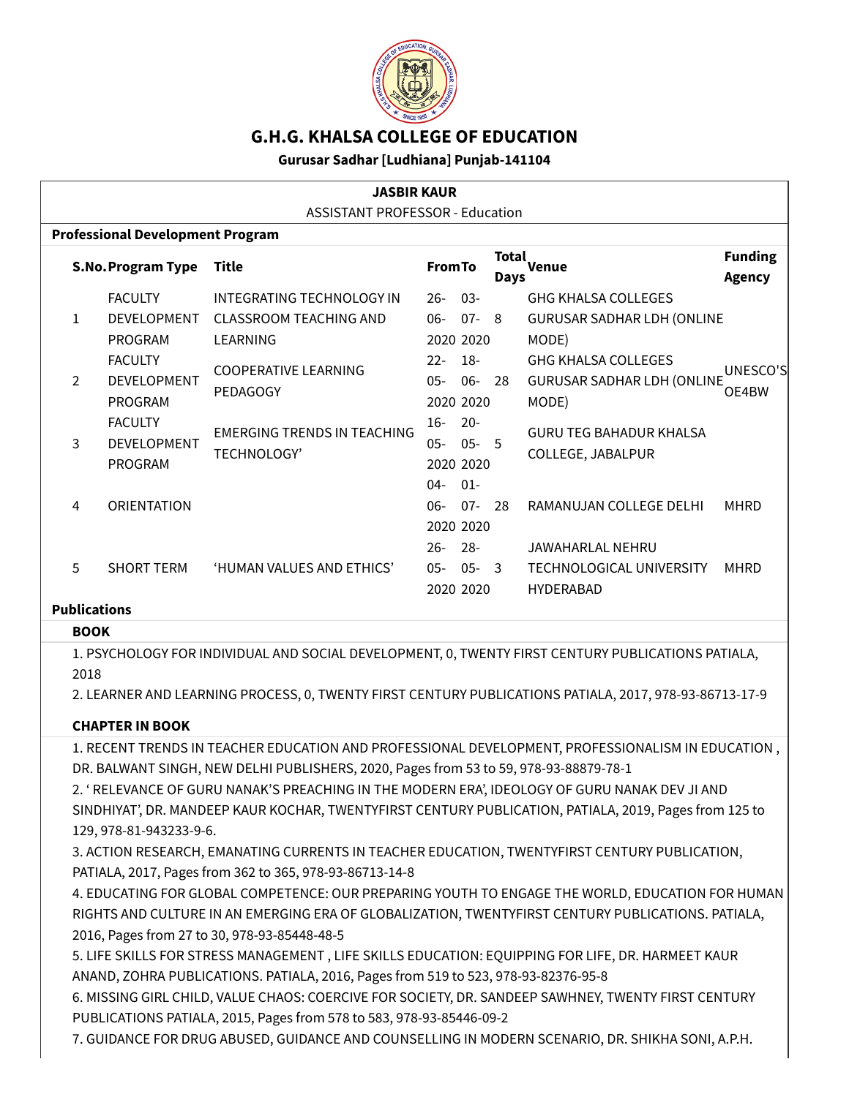

# **G.H.G. KHALSA COLLEGE OF EDUCATION**

#### **Gurusar Sadhar [Ludhiana] Punjab-141104**

| <b>JASBIR KAUR</b>                      |                                        |                          |                               |                |           |                      |                                   |                                 |  |  |  |  |
|-----------------------------------------|----------------------------------------|--------------------------|-------------------------------|----------------|-----------|----------------------|-----------------------------------|---------------------------------|--|--|--|--|
|                                         | <b>ASSISTANT PROFESSOR - Education</b> |                          |                               |                |           |                      |                                   |                                 |  |  |  |  |
| <b>Professional Development Program</b> |                                        |                          |                               |                |           |                      |                                   |                                 |  |  |  |  |
|                                         |                                        | <b>S.No.Program Type</b> | Title                         | <b>From To</b> |           | Total<br><b>Days</b> | <b>Venue</b>                      | <b>Funding</b><br><b>Agency</b> |  |  |  |  |
|                                         |                                        | <b>FACULTY</b>           | INTEGRATING TECHNOLOGY IN     | $26-$          | $03 -$    |                      | <b>GHG KHALSA COLLEGES</b>        |                                 |  |  |  |  |
|                                         | $\mathbf{1}$                           | <b>DEVELOPMENT</b>       | <b>CLASSROOM TEACHING AND</b> | $06-$          | $07 - 8$  |                      | <b>GURUSAR SADHAR LDH (ONLINE</b> |                                 |  |  |  |  |
|                                         |                                        | PROGRAM                  | LEARNING                      |                | 2020 2020 |                      | MODE)                             |                                 |  |  |  |  |
|                                         |                                        | <b>FACULTY</b>           | <b>COOPERATIVE LEARNING</b>   | $22 -$         | $18-$     |                      | <b>GHG KHALSA COLLEGES</b>        | UNESCO'S                        |  |  |  |  |
|                                         | $\mathcal{P}$                          | <b>DEVELOPMENT</b>       |                               | $05 -$         | $06-$     | -28                  | <b>GURUSAR SADHAR LDH (ONLINE</b> |                                 |  |  |  |  |
|                                         |                                        | PROGRAM                  | PEDAGOGY                      |                | 2020 2020 |                      | MODE)                             | OE4BW                           |  |  |  |  |
|                                         |                                        | <b>FACULTY</b>           | EMERGING TRENDS IN TEACHING   | $16 -$         | $20 -$    |                      | <b>GURU TEG BAHADUR KHALSA</b>    |                                 |  |  |  |  |
| 3                                       |                                        | <b>DEVELOPMENT</b>       |                               | $05 -$         | $05 - 5$  |                      |                                   |                                 |  |  |  |  |
|                                         |                                        | <b>PROGRAM</b>           | <b>TECHNOLOGY'</b>            |                | 2020 2020 |                      | COLLEGE, JABALPUR                 |                                 |  |  |  |  |
|                                         |                                        |                          |                               | $04 -$         | $01 -$    |                      |                                   |                                 |  |  |  |  |
|                                         | 4                                      | <b>ORIENTATION</b>       |                               | $06-$          | $07 -$    | 28                   | RAMANUJAN COLLEGE DELHI           | <b>MHRD</b>                     |  |  |  |  |
|                                         |                                        |                          |                               |                | 2020 2020 |                      |                                   |                                 |  |  |  |  |
|                                         |                                        |                          |                               | $26-$          | -28-      |                      | JAWAHARLAL NEHRU                  |                                 |  |  |  |  |
|                                         | 5                                      | <b>SHORT TERM</b>        | 'HUMAN VALUES AND ETHICS'     | $05 -$         | $05 -$    | -3                   | <b>TECHNOLOGICAL UNIVERSITY</b>   | <b>MHRD</b>                     |  |  |  |  |
|                                         |                                        |                          |                               |                | 2020 2020 |                      | <b>HYDERABAD</b>                  |                                 |  |  |  |  |

#### **Publications BOOK**

# 1. PSYCHOLOGY FOR INDIVIDUAL AND SOCIAL DEVELOPMENT, 0, TWENTY FIRST CENTURY PUBLICATIONS PATIALA,

2018

2. LEARNER AND LEARNING PROCESS, 0, TWENTY FIRST CENTURY PUBLICATIONS PATIALA, 2017, 978-93-86713-17-9

### **CHAPTER IN BOOK**

1. RECENT TRENDS IN TEACHER EDUCATION AND PROFESSIONAL DEVELOPMENT, PROFESSIONALISM IN EDUCATION , DR. BALWANT SINGH, NEW DELHI PUBLISHERS, 2020, Pages from 53 to 59, 978-93-88879-78-1

2. ' RELEVANCE OF GURU NANAK'S PREACHING IN THE MODERN ERA', IDEOLOGY OF GURU NANAK DEV JI AND SINDHIYAT', DR. MANDEEP KAUR KOCHAR, TWENTYFIRST CENTURY PUBLICATION, PATIALA, 2019, Pages from 125 to 129, 978-81-943233-9-6.

3. ACTION RESEARCH, EMANATING CURRENTS IN TEACHER EDUCATION, TWENTYFIRST CENTURY PUBLICATION, PATIALA, 2017, Pages from 362 to 365, 978-93-86713-14-8

4. EDUCATING FOR GLOBAL COMPETENCE: OUR PREPARING YOUTH TO ENGAGE THE WORLD, EDUCATION FOR HUMAN RIGHTS AND CULTURE IN AN EMERGING ERA OF GLOBALIZATION, TWENTYFIRST CENTURY PUBLICATIONS. PATIALA, 2016, Pages from 27 to 30, 978-93-85448-48-5

5. LIFE SKILLS FOR STRESS MANAGEMENT , LIFE SKILLS EDUCATION: EQUIPPING FOR LIFE, DR. HARMEET KAUR ANAND, ZOHRA PUBLICATIONS. PATIALA, 2016, Pages from 519 to 523, 978-93-82376-95-8

6. MISSING GIRL CHILD, VALUE CHAOS: COERCIVE FOR SOCIETY, DR. SANDEEP SAWHNEY, TWENTY FIRST CENTURY PUBLICATIONS PATIALA, 2015, Pages from 578 to 583, 978-93-85446-09-2

7. GUIDANCE FOR DRUG ABUSED, GUIDANCE AND COUNSELLING IN MODERN SCENARIO, DR. SHIKHA SONI, A.P.H.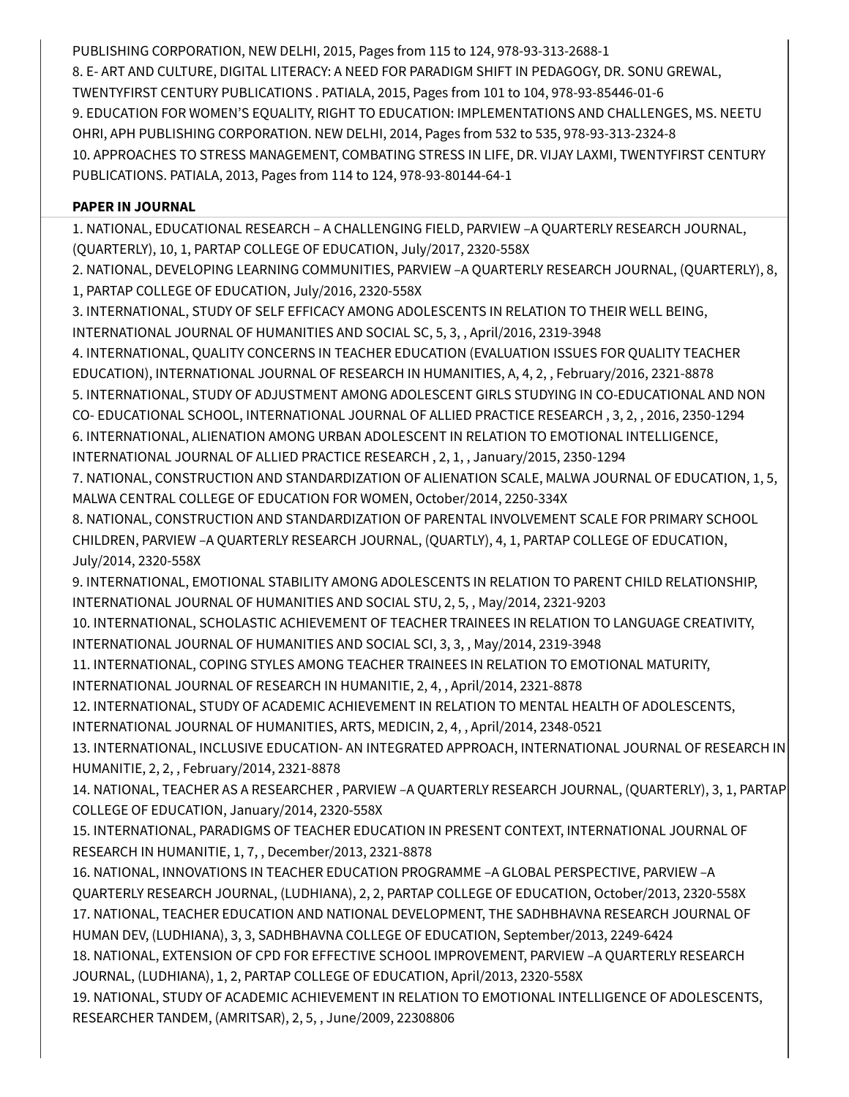PUBLISHING CORPORATION, NEW DELHI, 2015, Pages from 115 to 124, 978-93-313-2688-1 8. E- ART AND CULTURE, DIGITAL LITERACY: A NEED FOR PARADIGM SHIFT IN PEDAGOGY, DR. SONU GREWAL, TWENTYFIRST CENTURY PUBLICATIONS . PATIALA, 2015, Pages from 101 to 104, 978-93-85446-01-6 9. EDUCATION FOR WOMEN'S EQUALITY, RIGHT TO EDUCATION: IMPLEMENTATIONS AND CHALLENGES, MS. NEETU OHRI, APH PUBLISHING CORPORATION. NEW DELHI, 2014, Pages from 532 to 535, 978-93-313-2324-8 10. APPROACHES TO STRESS MANAGEMENT, COMBATING STRESS IN LIFE, DR. VIJAY LAXMI, TWENTYFIRST CENTURY PUBLICATIONS. PATIALA, 2013, Pages from 114 to 124, 978-93-80144-64-1

#### **PAPER IN JOURNAL**

1. NATIONAL, EDUCATIONAL RESEARCH – A CHALLENGING FIELD, PARVIEW –A QUARTERLY RESEARCH JOURNAL, (QUARTERLY), 10, 1, PARTAP COLLEGE OF EDUCATION, July/2017, 2320-558X

2. NATIONAL, DEVELOPING LEARNING COMMUNITIES, PARVIEW –A QUARTERLY RESEARCH JOURNAL, (QUARTERLY), 8, 1, PARTAP COLLEGE OF EDUCATION, July/2016, 2320-558X

3. INTERNATIONAL, STUDY OF SELF EFFICACY AMONG ADOLESCENTS IN RELATION TO THEIR WELL BEING, INTERNATIONAL JOURNAL OF HUMANITIES AND SOCIAL SC, 5, 3, , April/2016, 2319-3948

4. INTERNATIONAL, QUALITY CONCERNS IN TEACHER EDUCATION (EVALUATION ISSUES FOR QUALITY TEACHER EDUCATION), INTERNATIONAL JOURNAL OF RESEARCH IN HUMANITIES, A, 4, 2, , February/2016, 2321-8878 5. INTERNATIONAL, STUDY OF ADJUSTMENT AMONG ADOLESCENT GIRLS STUDYING IN CO-EDUCATIONAL AND NON CO- EDUCATIONAL SCHOOL, INTERNATIONAL JOURNAL OF ALLIED PRACTICE RESEARCH , 3, 2, , 2016, 2350-1294 6. INTERNATIONAL, ALIENATION AMONG URBAN ADOLESCENT IN RELATION TO EMOTIONAL INTELLIGENCE, INTERNATIONAL JOURNAL OF ALLIED PRACTICE RESEARCH , 2, 1, , January/2015, 2350-1294

7. NATIONAL, CONSTRUCTION AND STANDARDIZATION OF ALIENATION SCALE, MALWA JOURNAL OF EDUCATION, 1, 5, MALWA CENTRAL COLLEGE OF EDUCATION FOR WOMEN, October/2014, 2250-334X

8. NATIONAL, CONSTRUCTION AND STANDARDIZATION OF PARENTAL INVOLVEMENT SCALE FOR PRIMARY SCHOOL CHILDREN, PARVIEW –A QUARTERLY RESEARCH JOURNAL, (QUARTLY), 4, 1, PARTAP COLLEGE OF EDUCATION, July/2014, 2320-558X

9. INTERNATIONAL, EMOTIONAL STABILITY AMONG ADOLESCENTS IN RELATION TO PARENT CHILD RELATIONSHIP, INTERNATIONAL JOURNAL OF HUMANITIES AND SOCIAL STU, 2, 5, , May/2014, 2321-9203

10. INTERNATIONAL, SCHOLASTIC ACHIEVEMENT OF TEACHER TRAINEES IN RELATION TO LANGUAGE CREATIVITY, INTERNATIONAL JOURNAL OF HUMANITIES AND SOCIAL SCI, 3, 3, , May/2014, 2319-3948

11. INTERNATIONAL, COPING STYLES AMONG TEACHER TRAINEES IN RELATION TO EMOTIONAL MATURITY,

INTERNATIONAL JOURNAL OF RESEARCH IN HUMANITIE, 2, 4, , April/2014, 2321-8878

12. INTERNATIONAL, STUDY OF ACADEMIC ACHIEVEMENT IN RELATION TO MENTAL HEALTH OF ADOLESCENTS,

INTERNATIONAL JOURNAL OF HUMANITIES, ARTS, MEDICIN, 2, 4, , April/2014, 2348-0521

13. INTERNATIONAL, INCLUSIVE EDUCATION- AN INTEGRATED APPROACH, INTERNATIONAL JOURNAL OF RESEARCH IN HUMANITIE, 2, 2, , February/2014, 2321-8878

14. NATIONAL, TEACHER AS A RESEARCHER , PARVIEW –A QUARTERLY RESEARCH JOURNAL, (QUARTERLY), 3, 1, PARTAP COLLEGE OF EDUCATION, January/2014, 2320-558X

15. INTERNATIONAL, PARADIGMS OF TEACHER EDUCATION IN PRESENT CONTEXT, INTERNATIONAL JOURNAL OF RESEARCH IN HUMANITIE, 1, 7, , December/2013, 2321-8878

16. NATIONAL, INNOVATIONS IN TEACHER EDUCATION PROGRAMME –A GLOBAL PERSPECTIVE, PARVIEW –A QUARTERLY RESEARCH JOURNAL, (LUDHIANA), 2, 2, PARTAP COLLEGE OF EDUCATION, October/2013, 2320-558X 17. NATIONAL, TEACHER EDUCATION AND NATIONAL DEVELOPMENT, THE SADHBHAVNA RESEARCH JOURNAL OF HUMAN DEV, (LUDHIANA), 3, 3, SADHBHAVNA COLLEGE OF EDUCATION, September/2013, 2249-6424 18. NATIONAL, EXTENSION OF CPD FOR EFFECTIVE SCHOOL IMPROVEMENT, PARVIEW –A QUARTERLY RESEARCH

JOURNAL, (LUDHIANA), 1, 2, PARTAP COLLEGE OF EDUCATION, April/2013, 2320-558X 19. NATIONAL, STUDY OF ACADEMIC ACHIEVEMENT IN RELATION TO EMOTIONAL INTELLIGENCE OF ADOLESCENTS,

RESEARCHER TANDEM, (AMRITSAR), 2, 5, , June/2009, 22308806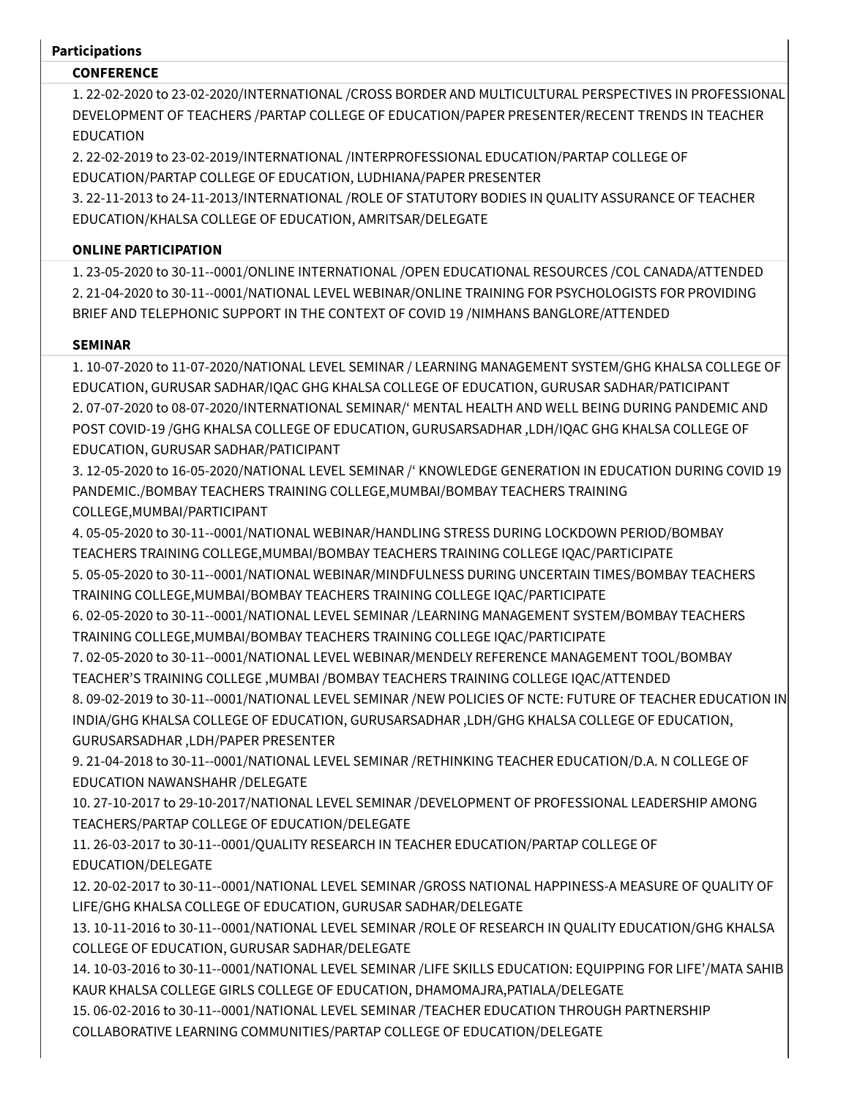#### **Participations**

### **CONFERENCE**

1. 22-02-2020 to 23-02-2020/INTERNATIONAL /CROSS BORDER AND MULTICULTURAL PERSPECTIVES IN PROFESSIONAL DEVELOPMENT OF TEACHERS /PARTAP COLLEGE OF EDUCATION/PAPER PRESENTER/RECENT TRENDS IN TEACHER EDUCATION

2. 22-02-2019 to 23-02-2019/INTERNATIONAL /INTERPROFESSIONAL EDUCATION/PARTAP COLLEGE OF EDUCATION/PARTAP COLLEGE OF EDUCATION, LUDHIANA/PAPER PRESENTER

3. 22-11-2013 to 24-11-2013/INTERNATIONAL /ROLE OF STATUTORY BODIES IN QUALITY ASSURANCE OF TEACHER EDUCATION/KHALSA COLLEGE OF EDUCATION, AMRITSAR/DELEGATE

## **ONLINE PARTICIPATION**

1. 23-05-2020 to 30-11--0001/ONLINE INTERNATIONAL /OPEN EDUCATIONAL RESOURCES /COL CANADA/ATTENDED 2. 21-04-2020 to 30-11--0001/NATIONAL LEVEL WEBINAR/ONLINE TRAINING FOR PSYCHOLOGISTS FOR PROVIDING BRIEF AND TELEPHONIC SUPPORT IN THE CONTEXT OF COVID 19 /NIMHANS BANGLORE/ATTENDED

## **SEMINAR**

1. 10-07-2020 to 11-07-2020/NATIONAL LEVEL SEMINAR / LEARNING MANAGEMENT SYSTEM/GHG KHALSA COLLEGE OF EDUCATION, GURUSAR SADHAR/IQAC GHG KHALSA COLLEGE OF EDUCATION, GURUSAR SADHAR/PATICIPANT 2. 07-07-2020 to 08-07-2020/INTERNATIONAL SEMINAR/' MENTAL HEALTH AND WELL BEING DURING PANDEMIC AND POST COVID-19 /GHG KHALSA COLLEGE OF EDUCATION, GURUSARSADHAR ,LDH/IQAC GHG KHALSA COLLEGE OF EDUCATION, GURUSAR SADHAR/PATICIPANT

3. 12-05-2020 to 16-05-2020/NATIONAL LEVEL SEMINAR /' KNOWLEDGE GENERATION IN EDUCATION DURING COVID 19 PANDEMIC./BOMBAY TEACHERS TRAINING COLLEGE,MUMBAI/BOMBAY TEACHERS TRAINING COLLEGE,MUMBAI/PARTICIPANT

4. 05-05-2020 to 30-11--0001/NATIONAL WEBINAR/HANDLING STRESS DURING LOCKDOWN PERIOD/BOMBAY TEACHERS TRAINING COLLEGE,MUMBAI/BOMBAY TEACHERS TRAINING COLLEGE IQAC/PARTICIPATE

5. 05-05-2020 to 30-11--0001/NATIONAL WEBINAR/MINDFULNESS DURING UNCERTAIN TIMES/BOMBAY TEACHERS TRAINING COLLEGE,MUMBAI/BOMBAY TEACHERS TRAINING COLLEGE IQAC/PARTICIPATE

6. 02-05-2020 to 30-11--0001/NATIONAL LEVEL SEMINAR /LEARNING MANAGEMENT SYSTEM/BOMBAY TEACHERS TRAINING COLLEGE,MUMBAI/BOMBAY TEACHERS TRAINING COLLEGE IQAC/PARTICIPATE

7. 02-05-2020 to 30-11--0001/NATIONAL LEVEL WEBINAR/MENDELY REFERENCE MANAGEMENT TOOL/BOMBAY TEACHER'S TRAINING COLLEGE ,MUMBAI /BOMBAY TEACHERS TRAINING COLLEGE IQAC/ATTENDED

8. 09-02-2019 to 30-11--0001/NATIONAL LEVEL SEMINAR /NEW POLICIES OF NCTE: FUTURE OF TEACHER EDUCATION IN INDIA/GHG KHALSA COLLEGE OF EDUCATION, GURUSARSADHAR ,LDH/GHG KHALSA COLLEGE OF EDUCATION, GURUSARSADHAR ,LDH/PAPER PRESENTER

9. 21-04-2018 to 30-11--0001/NATIONAL LEVEL SEMINAR /RETHINKING TEACHER EDUCATION/D.A. N COLLEGE OF EDUCATION NAWANSHAHR /DELEGATE

10. 27-10-2017 to 29-10-2017/NATIONAL LEVEL SEMINAR /DEVELOPMENT OF PROFESSIONAL LEADERSHIP AMONG TEACHERS/PARTAP COLLEGE OF EDUCATION/DELEGATE

11. 26-03-2017 to 30-11--0001/QUALITY RESEARCH IN TEACHER EDUCATION/PARTAP COLLEGE OF EDUCATION/DELEGATE

12. 20-02-2017 to 30-11--0001/NATIONAL LEVEL SEMINAR /GROSS NATIONAL HAPPINESS-A MEASURE OF QUALITY OF LIFE/GHG KHALSA COLLEGE OF EDUCATION, GURUSAR SADHAR/DELEGATE

13. 10-11-2016 to 30-11--0001/NATIONAL LEVEL SEMINAR /ROLE OF RESEARCH IN QUALITY EDUCATION/GHG KHALSA COLLEGE OF EDUCATION, GURUSAR SADHAR/DELEGATE

14. 10-03-2016 to 30-11--0001/NATIONAL LEVEL SEMINAR /LIFE SKILLS EDUCATION: EQUIPPING FOR LIFE'/MATA SAHIB KAUR KHALSA COLLEGE GIRLS COLLEGE OF EDUCATION, DHAMOMAJRA,PATIALA/DELEGATE

15. 06-02-2016 to 30-11--0001/NATIONAL LEVEL SEMINAR /TEACHER EDUCATION THROUGH PARTNERSHIP COLLABORATIVE LEARNING COMMUNITIES/PARTAP COLLEGE OF EDUCATION/DELEGATE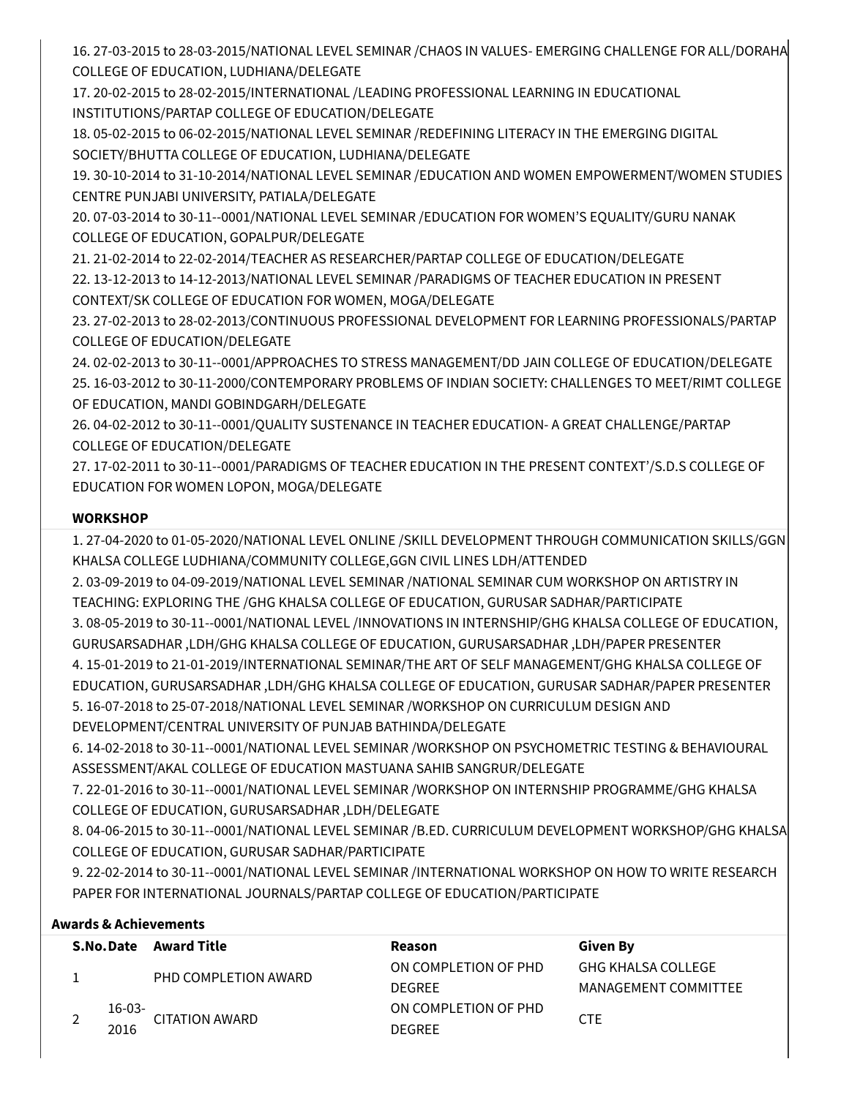16. 27-03-2015 to 28-03-2015/NATIONAL LEVEL SEMINAR /CHAOS IN VALUES- EMERGING CHALLENGE FOR ALL/DORAHA COLLEGE OF EDUCATION, LUDHIANA/DELEGATE

17. 20-02-2015 to 28-02-2015/INTERNATIONAL /LEADING PROFESSIONAL LEARNING IN EDUCATIONAL INSTITUTIONS/PARTAP COLLEGE OF EDUCATION/DELEGATE

18. 05-02-2015 to 06-02-2015/NATIONAL LEVEL SEMINAR /REDEFINING LITERACY IN THE EMERGING DIGITAL SOCIETY/BHUTTA COLLEGE OF EDUCATION, LUDHIANA/DELEGATE

19. 30-10-2014 to 31-10-2014/NATIONAL LEVEL SEMINAR /EDUCATION AND WOMEN EMPOWERMENT/WOMEN STUDIES CENTRE PUNJABI UNIVERSITY, PATIALA/DELEGATE

20. 07-03-2014 to 30-11--0001/NATIONAL LEVEL SEMINAR /EDUCATION FOR WOMEN'S EQUALITY/GURU NANAK COLLEGE OF EDUCATION, GOPALPUR/DELEGATE

21. 21-02-2014 to 22-02-2014/TEACHER AS RESEARCHER/PARTAP COLLEGE OF EDUCATION/DELEGATE 22. 13-12-2013 to 14-12-2013/NATIONAL LEVEL SEMINAR /PARADIGMS OF TEACHER EDUCATION IN PRESENT CONTEXT/SK COLLEGE OF EDUCATION FOR WOMEN, MOGA/DELEGATE

23. 27-02-2013 to 28-02-2013/CONTINUOUS PROFESSIONAL DEVELOPMENT FOR LEARNING PROFESSIONALS/PARTAP COLLEGE OF EDUCATION/DELEGATE

24. 02-02-2013 to 30-11--0001/APPROACHES TO STRESS MANAGEMENT/DD JAIN COLLEGE OF EDUCATION/DELEGATE 25. 16-03-2012 to 30-11-2000/CONTEMPORARY PROBLEMS OF INDIAN SOCIETY: CHALLENGES TO MEET/RIMT COLLEGE OF EDUCATION, MANDI GOBINDGARH/DELEGATE

26. 04-02-2012 to 30-11--0001/QUALITY SUSTENANCE IN TEACHER EDUCATION- A GREAT CHALLENGE/PARTAP COLLEGE OF EDUCATION/DELEGATE

27. 17-02-2011 to 30-11--0001/PARADIGMS OF TEACHER EDUCATION IN THE PRESENT CONTEXT'/S.D.S COLLEGE OF EDUCATION FOR WOMEN LOPON, MOGA/DELEGATE

# **WORKSHOP**

1. 27-04-2020 to 01-05-2020/NATIONAL LEVEL ONLINE /SKILL DEVELOPMENT THROUGH COMMUNICATION SKILLS/GGN KHALSA COLLEGE LUDHIANA/COMMUNITY COLLEGE,GGN CIVIL LINES LDH/ATTENDED

2. 03-09-2019 to 04-09-2019/NATIONAL LEVEL SEMINAR /NATIONAL SEMINAR CUM WORKSHOP ON ARTISTRY IN TEACHING: EXPLORING THE /GHG KHALSA COLLEGE OF EDUCATION, GURUSAR SADHAR/PARTICIPATE 3. 08-05-2019 to 30-11--0001/NATIONAL LEVEL /INNOVATIONS IN INTERNSHIP/GHG KHALSA COLLEGE OF EDUCATION, GURUSARSADHAR ,LDH/GHG KHALSA COLLEGE OF EDUCATION, GURUSARSADHAR ,LDH/PAPER PRESENTER 4. 15-01-2019 to 21-01-2019/INTERNATIONAL SEMINAR/THE ART OF SELF MANAGEMENT/GHG KHALSA COLLEGE OF EDUCATION, GURUSARSADHAR ,LDH/GHG KHALSA COLLEGE OF EDUCATION, GURUSAR SADHAR/PAPER PRESENTER 5. 16-07-2018 to 25-07-2018/NATIONAL LEVEL SEMINAR /WORKSHOP ON CURRICULUM DESIGN AND DEVELOPMENT/CENTRAL UNIVERSITY OF PUNJAB BATHINDA/DELEGATE

6. 14-02-2018 to 30-11--0001/NATIONAL LEVEL SEMINAR /WORKSHOP ON PSYCHOMETRIC TESTING & BEHAVIOURAL ASSESSMENT/AKAL COLLEGE OF EDUCATION MASTUANA SAHIB SANGRUR/DELEGATE

7. 22-01-2016 to 30-11--0001/NATIONAL LEVEL SEMINAR /WORKSHOP ON INTERNSHIP PROGRAMME/GHG KHALSA COLLEGE OF EDUCATION, GURUSARSADHAR ,LDH/DELEGATE

8. 04-06-2015 to 30-11--0001/NATIONAL LEVEL SEMINAR /B.ED. CURRICULUM DEVELOPMENT WORKSHOP/GHG KHALSA COLLEGE OF EDUCATION, GURUSAR SADHAR/PARTICIPATE

9. 22-02-2014 to 30-11--0001/NATIONAL LEVEL SEMINAR /INTERNATIONAL WORKSHOP ON HOW TO WRITE RESEARCH PAPER FOR INTERNATIONAL JOURNALS/PARTAP COLLEGE OF EDUCATION/PARTICIPATE

# **Awards & Achievements**

|          | S.No.Date Award Title | Reason               | Given By                  |  |
|----------|-----------------------|----------------------|---------------------------|--|
|          | PHD COMPLETION AWARD  | ON COMPLETION OF PHD | <b>GHG KHALSA COLLEGE</b> |  |
|          |                       | <b>DEGREE</b>        | MANAGEMENT COMMITTEE      |  |
| $16-03-$ | <b>CITATION AWARD</b> | ON COMPLETION OF PHD | <b>CTE</b>                |  |
| 2016     |                       | <b>DEGREE</b>        |                           |  |